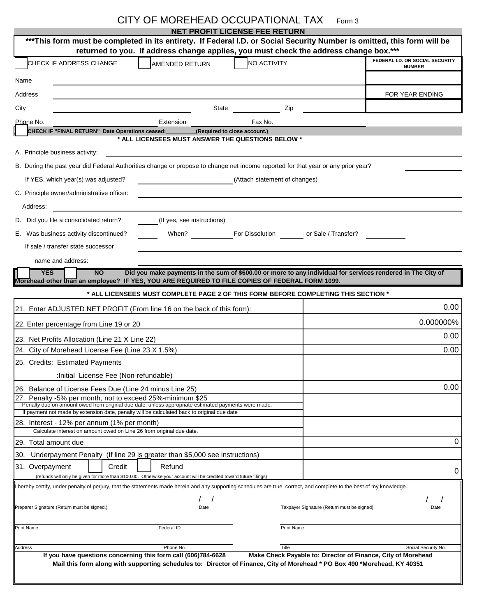|                                                                                                                                                                        | CITY OF MOREHEAD OCCUPATIONAL TAX                                                                                         |                                      |                                     | Form 3                                                       |                                 |
|------------------------------------------------------------------------------------------------------------------------------------------------------------------------|---------------------------------------------------------------------------------------------------------------------------|--------------------------------------|-------------------------------------|--------------------------------------------------------------|---------------------------------|
| ***This form must be completed in its entirety. If Federal I.D. or Social Security Number is omitted, this form will be                                                |                                                                                                                           | <b>NET PROFIT LICENSE FEE RETURN</b> |                                     |                                                              |                                 |
|                                                                                                                                                                        | returned to you. If address change applies, you must check the address change box.***                                     |                                      |                                     |                                                              |                                 |
| CHECK IF ADDRESS CHANGE                                                                                                                                                | AMENDED RETURN                                                                                                            |                                      | NO ACTIVITY                         |                                                              | FEDERAL I.D. OR SOCIAL SECURITY |
|                                                                                                                                                                        |                                                                                                                           |                                      |                                     |                                                              | <b>NUMBER</b>                   |
| Name                                                                                                                                                                   |                                                                                                                           |                                      |                                     |                                                              |                                 |
| Address                                                                                                                                                                |                                                                                                                           |                                      |                                     |                                                              | FOR YEAR ENDING                 |
| City                                                                                                                                                                   |                                                                                                                           | State                                | Zip                                 |                                                              |                                 |
| Phone No.                                                                                                                                                              | Extension                                                                                                                 | Fax No.                              |                                     |                                                              |                                 |
| CHECK IF "FINAL RETURN" Date Operations ceased:                                                                                                                        | * ALL LICENSEES MUST ANSWER THE QUESTIONS BELOW *                                                                         | (Required to close account.)         |                                     |                                                              |                                 |
| A. Principle business activity:                                                                                                                                        |                                                                                                                           |                                      |                                     |                                                              |                                 |
| B. During the past year did Federal Authorities change or propose to change net income reported for that year or any prior year?                                       |                                                                                                                           |                                      |                                     |                                                              |                                 |
|                                                                                                                                                                        |                                                                                                                           |                                      |                                     |                                                              |                                 |
| If YES, which year(s) was adjusted?                                                                                                                                    |                                                                                                                           |                                      | (Attach statement of changes)       |                                                              |                                 |
| C. Principle owner/administrative officer:                                                                                                                             |                                                                                                                           |                                      |                                     |                                                              |                                 |
| Address:                                                                                                                                                               |                                                                                                                           |                                      |                                     |                                                              |                                 |
| D. Did you file a consolidated return?                                                                                                                                 | (If yes, see instructions)                                                                                                |                                      |                                     |                                                              |                                 |
| E. Was business activity discontinued?                                                                                                                                 | When?                                                                                                                     |                                      | For Dissolution or Sale / Transfer? |                                                              |                                 |
| If sale / transfer state successor                                                                                                                                     |                                                                                                                           |                                      |                                     |                                                              |                                 |
| name and address:                                                                                                                                                      |                                                                                                                           |                                      |                                     |                                                              |                                 |
| <b>YES</b><br><b>NO</b>                                                                                                                                                | Did you make payments in the sum of \$600.00 or more to any individual for services rendered in The City of               |                                      |                                     |                                                              |                                 |
| Morehead other than an employee? IF YES, YOU ARE REQUIRED TO FILE COPIES OF FEDERAL FORM 1099.                                                                         |                                                                                                                           |                                      |                                     |                                                              |                                 |
|                                                                                                                                                                        | * ALL LICENSEES MUST COMPLETE PAGE 2 OF THIS FORM BEFORE COMPLETING THIS SECTION *                                        |                                      |                                     |                                                              |                                 |
| 21. Enter ADJUSTED NET PROFIT (From line 16 on the back of this form):                                                                                                 |                                                                                                                           |                                      |                                     |                                                              | 0.00                            |
| 22. Enter percentage from Line 19 or 20                                                                                                                                |                                                                                                                           |                                      |                                     |                                                              | 0.000000%                       |
| 23. Net Profits Allocation (Line 21 X Line 22)                                                                                                                         |                                                                                                                           |                                      | 0.00                                |                                                              |                                 |
| 24. City of Morehead License Fee (Line 23 X 1.5%)                                                                                                                      |                                                                                                                           |                                      | 0.00                                |                                                              |                                 |
| 25. Credits: Estimated Payments                                                                                                                                        |                                                                                                                           |                                      |                                     |                                                              |                                 |
| :Initial License Fee (Non-refundable)                                                                                                                                  |                                                                                                                           |                                      |                                     |                                                              |                                 |
| 26. Balance of License Fees Due (Line 24 minus Line 25)                                                                                                                |                                                                                                                           |                                      |                                     |                                                              | 0.00                            |
| 27. Penalty -5% per month, not to exceed 25%-minimum \$25<br>Penalty due on amount owed from original due date, unless appropriate estimated payments were made.       |                                                                                                                           |                                      |                                     |                                                              |                                 |
| If payment not made by extension date, penalty will be calculated back to original due date                                                                            |                                                                                                                           |                                      |                                     |                                                              |                                 |
| 28. Interest - 12% per annum (1% per month)<br>Calculate interest on amount owed on Line 26 from original due date.                                                    |                                                                                                                           |                                      |                                     |                                                              |                                 |
| 29. Total amount due                                                                                                                                                   |                                                                                                                           |                                      |                                     |                                                              | 0                               |
| Underpayment Penalty (If line 29 is greater than \$5,000 see instructions)<br>30.                                                                                      |                                                                                                                           |                                      |                                     |                                                              |                                 |
| 31. Overpayment<br>Credit                                                                                                                                              | Refund                                                                                                                    |                                      |                                     |                                                              |                                 |
| (refunds will only be given for more than \$100.00. Otherwise your account will be credited toward future filings)                                                     |                                                                                                                           |                                      |                                     |                                                              | 0                               |
| If hereby certify, under penalty of perjury, that the statements made herein and any supporting schedules are true, correct, and complete to the best of my knowledge. |                                                                                                                           |                                      |                                     |                                                              |                                 |
| Preparer Signature (Return must be signed.)                                                                                                                            |                                                                                                                           |                                      |                                     | Taxpayer Signature (Return must be signed)                   | Date                            |
|                                                                                                                                                                        |                                                                                                                           |                                      |                                     |                                                              |                                 |
| <b>Print Name</b>                                                                                                                                                      | Federal ID                                                                                                                |                                      | Print Name                          |                                                              |                                 |
|                                                                                                                                                                        |                                                                                                                           |                                      |                                     |                                                              |                                 |
| <b>Address</b>                                                                                                                                                         | Phone No.<br>If you have questions concerning this form call (606)784-6628                                                |                                      | Title                               | Make Check Payable to: Director of Finance, City of Morehead | Social Security No.             |
|                                                                                                                                                                        | Mail this form along with supporting schedules to: Director of Finance, City of Morehead * PO Box 490 *Morehead, KY 40351 |                                      |                                     |                                                              |                                 |